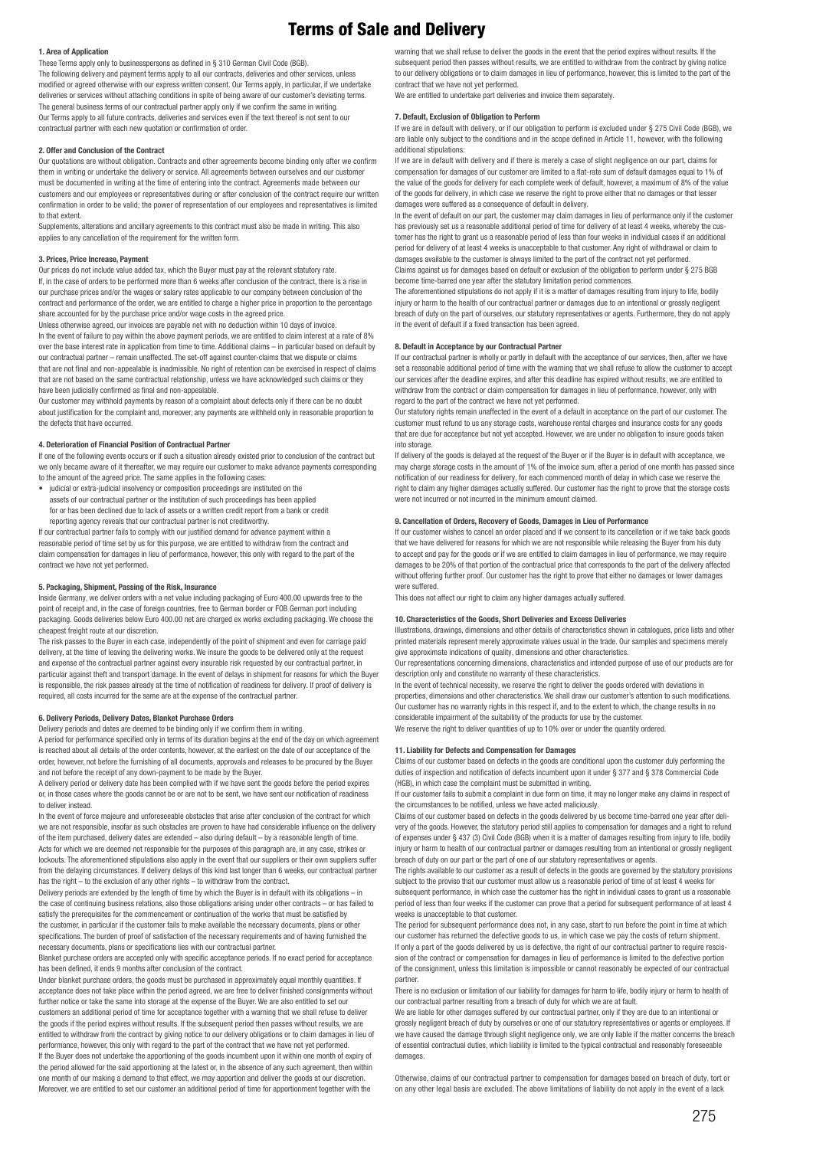# Terms of Sale and Delivery

# **1. Area of Application**

These Terms apply only to businesspersons as defined in § 310 German Civil Code (BGB). The following delivery and payment terms apply to all our contracts, deliveries and other services, unless

modified or agreed otherwise with our express written consent. Our Terms apply, in particular, if we undertake deliveries or services without attaching conditions in spite of being aware of our customer's deviating terms. The general business terms of our contractual partner apply only if we confirm the same in writing. Our Terms apply to all future contracts, deliveries and services even if the text thereof is not sent to our contractual partner with each new quotation or confirmation of order.

# **2. Offer and Conclusion of the Contract**

Our quotations are without obligation. Contracts and other agreements become binding only after we confirm them in writing or undertake the delivery or service. All agreements between ourselves and our customer must be documented in writing at the time of entering into the contract. Agreements made between our customers and our employees or representatives during or after conclusion of the contract require our written confirmation in order to be valid; the power of representation of our employees and representatives is limited to that extent.

Supplements, alterations and ancillary agreements to this contract must also be made in writing. This also applies to any cancellation of the requirement for the written form.

#### **3. Prices, Price Increase, Payment**

Our prices do not include value added tax, which the Buyer must pay at the relevant statutory rate. If, in the case of orders to be performed more than 6 weeks after conclusion of the contract, there is a rise in our purchase prices and/or the wages or salary rates applicable to our company between conclusion of the contract and performance of the order, we are entitled to charge a higher price in proportion to the percentage share accounted for by the purchase price and/or wage costs in the agreed price.

Unless otherwise agreed, our invoices are payable net with no deduction within 10 days of invoice. In the event of failure to pay within the above payment periods, we are entitled to claim interest at a rate of 8% over the base interest rate in application from time to time. Additional claims – in particular based on default by our contractual partner – remain unaffected. The set-off against counter-claims that we dispute or claims that are not final and non-appealable is inadmissible. No right of retention can be exercised in respect of claims that are not based on the same contractual relationship, unless we have acknowledged such claims or they have been judicially confirmed as final and non-appealable.

Our customer may withhold payments by reason of a complaint about defects only if there can be no doubt about justification for the complaint and, moreover, any payments are withheld only in reasonable proportion to the defects that have occurred.

# **4. Deterioration of Financial Position of Contractual Partner**

If one of the following events occurs or if such a situation already existed prior to conclusion of the contract but we only became aware of it thereafter, we may require our customer to make advance payments corresponding to the amount of the agreed price. The same applies in the following cases:

• judicial or extra-judicial insolvency or composition proceedings are instituted on the assets of our contractual partner or the institution of such proceedings has been applied for or has been declined due to lack of assets or a written credit report from a bank or credit reporting agency reveals that our contractual partner is not creditworthy.

If our contractual partner fails to comply with our justified demand for advance payment within a reasonable period of time set by us for this purpose, we are entitled to withdraw from the contract and claim compensation for damages in lieu of performance, however, this only with regard to the part of the contract we have not yet performed.

#### **5. Packaging, Shipment, Passing of the Risk, Insurance**

Inside Germany, we deliver orders with a net value including packaging of Euro 400.00 upwards free to the point of receipt and, in the case of foreign countries, free to German border or FOB German port including packaging. Goods deliveries below Euro 400.00 net are charged ex works excluding packaging. We choose the cheapest freight route at our discretion.

The risk passes to the Buyer in each case, independently of the point of shipment and even for carriage paid delivery, at the time of leaving the delivering works. We insure the goods to be delivered only at the request and expense of the contractual partner against every insurable risk requested by our contractual partner, in particular against theft and transport damage. In the event of delays in shipment for reasons for which the Buyer is responsible, the risk passes already at the time of notification of readiness for delivery. If proof of delivery is required, all costs incurred for the same are at the expense of the contractual partner.

# **6. Delivery Periods, Delivery Dates, Blanket Purchase Orders**

Delivery periods and dates are deemed to be binding only if we confirm them in writing. A period for performance specified only in terms of its duration begins at the end of the day on which agreement is reached about all details of the order contents, however, at the earliest on the date of our acceptance of the order, however, not before the furnishing of all documents, approvals and releases to be procured by the Buyer and not before the receipt of any down-payment to be made by the Buyer.

A delivery period or delivery date has been complied with if we have sent the goods before the period expires or, in those cases where the goods cannot be or are not to be sent, we have sent our notification of readiness to deliver instead.

In the event of force majeure and unforeseeable obstacles that arise after conclusion of the contract for which we are not responsible, insofar as such obstacles are proven to have had considerable influence on the delivery of the item purchased, delivery dates are extended – also during default – by a reasonable length of time. Acts for which we are deemed not responsible for the purposes of this paragraph are, in any case, strikes or lockouts. The aforementioned stipulations also apply in the event that our suppliers or their own suppliers suffer from the delaying circumstances. If delivery delays of this kind last longer than 6 weeks, our contractual partner has the right – to the exclusion of any other rights – to withdraw from the contract.

Delivery periods are extended by the length of time by which the Buyer is in default with its obligations – in the case of continuing business relations, also those obligations arising under other contracts – or has failed to satisfy the prerequisites for the commencement or continuation of the works that must be satisfied by the customer, in particular if the customer fails to make available the necessary documents, plans or other specifications. The burden of proof of satisfaction of the necessary requirements and of having furnished the necessary documents, plans or specifications lies with our contractual partner.

Blanket purchase orders are accepted only with specific acceptance periods. If no exact period for acceptance has been defined, it ends 9 months after conclusion of the contract.

Under blanket purchase orders, the goods must be purchased in approximately equal monthly quantities. If acceptance does not take place within the period agreed, we are free to deliver finished consignments without further notice or take the same into storage at the expense of the Buyer. We are also entitled to set our customers an additional period of time for acceptance together with a warning that we shall refuse to deliver the goods if the period expires without results. If the subsequent period then passes without results, we are entitled to withdraw from the contract by giving notice to our delivery obligations or to claim damages in lieu of performance, however, this only with regard to the part of the contract that we have not yet performed. If the Buyer does not undertake the apportioning of the goods incumbent upon it within one month of expiry of the period allowed for the said apportioning at the latest or, in the absence of any such agreement, then within one month of our making a demand to that effect, we may apportion and deliver the goods at our discretion. Moreover, we are entitled to set our customer an additional period of time for apportionment together with the

warning that we shall refuse to deliver the goods in the event that the period expires without results. If the subsequent period then passes without results, we are entitled to withdraw from the contract by giving notice to our delivery obligations or to claim damages in lieu of performance, however, this is limited to the part of the contract that we have not yet performed. We are entitled to undertake part deliveries and invoice them separately.

# **7. Default, Exclusion of Obligation to Perform**

If we are in default with delivery, or if our obligation to perform is excluded under § 275 Civil Code (BGB), we are liable only subject to the conditions and in the scope defined in Article 11, however, with the following additional stipulations:

If we are in default with delivery and if there is merely a case of slight negligence on our part, claims for compensation for damages of our customer are limited to a flat-rate sum of default damages equal to 1% of the value of the goods for delivery for each complete week of default, however, a maximum of 8% of the value of the goods for delivery, in which case we reserve the right to prove either that no damages or that lesser damages were suffered as a consequence of default in delivery.

In the event of default on our part, the customer may claim damages in lieu of performance only if the customer has previously set us a reasonable additional period of time for delivery of at least 4 weeks, whereby the customer has the right to grant us a reasonable period of less than four weeks in individual cases if an additional period for delivery of at least 4 weeks is unacceptable to that customer. Any right of withdrawal or claim to damages available to the customer is always limited to the part of the contract not yet performed. Claims against us for damages based on default or exclusion of the obligation to perform under § 275 BGB become time-barred one year after the statutory limitation period commences.

The aforementioned stipulations do not apply if it is a matter of damages resulting from injury to life, bodily injury or harm to the health of our contractual partner or damages due to an intentional or grossly negligent breach of duty on the part of ourselves, our statutory representatives or agents. Furthermore, they do not apply in the event of default if a fixed transaction has been agreed.

# **8. Default in Acceptance by our Contractual Partner**

If our contractual partner is wholly or partly in default with the acceptance of our services, then, after we have set a reasonable additional period of time with the warning that we shall refuse to allow the customer to accept our services after the deadline expires, and after this deadline has expired without results, we are entitled to withdraw from the contract or claim compensation for damages in lieu of performance, however, only with regard to the part of the contract we have not yet performed.

Our statutory rights remain unaffected in the event of a default in acceptance on the part of our customer. The customer must refund to us any storage costs, warehouse rental charges and insurance costs for any goods that are due for acceptance but not yet accepted. However, we are under no obligation to insure goods taken into storage.

If delivery of the goods is delayed at the request of the Buyer or if the Buyer is in default with acceptance, we may charge storage costs in the amount of 1% of the invoice sum, after a period of one month has passed since notification of our readiness for delivery, for each commenced month of delay in which case we reserve the right to claim any higher damages actually suffered. Our customer has the right to prove that the storage costs were not incurred or not incurred in the minimum amount claimed.

# **9. Cancellation of Orders, Recovery of Goods, Damages in Lieu of Performance**

If our customer wishes to cancel an order placed and if we consent to its cancellation or if we take back goods that we have delivered for reasons for which we are not responsible while releasing the Buyer from his duty to accept and pay for the goods or if we are entitled to claim damages in lieu of performance, we may require damages to be 20% of that portion of the contractual price that corresponds to the part of the delivery affected without offering further proof. Our customer has the right to prove that either no damages or lower damages were suffered.

This does not affect our right to claim any higher damages actually suffered.

#### **10. Characteristics of the Goods, Short Deliveries and Excess Deliveries**

Illustrations, drawings, dimensions and other details of characteristics shown in catalogues, price lists and other printed materials represent merely approximate values usual in the trade. Our samples and specimens merely give approximate indications of quality, dimensions and other characteristics.

Our representations concerning dimensions, characteristics and intended purpose of use of our products are for description only and constitute no warranty of these characteristics.

In the event of technical necessity, we reserve the right to deliver the goods ordered with deviations in properties, dimensions and other characteristics. We shall draw our customer's attention to such modifications. Our customer has no warranty rights in this respect if, and to the extent to which, the change results in no considerable impairment of the suitability of the products for use by the customer. We reserve the right to deliver quantities of up to 10% over or under the quantity ordered.

# **11. Liability for Defects and Compensation for Damages**

Claims of our customer based on defects in the goods are conditional upon the customer duly performing the duties of inspection and notification of defects incumbent upon it under § 377 and § 378 Commercial Code (HGB), in which case the complaint must be submitted in writing.

If our customer fails to submit a complaint in due form on time, it may no longer make any claims in respect of the circumstances to be notified, unless we have acted maliciously.

Claims of our customer based on defects in the goods delivered by us become time-barred one year after delivery of the goods. However, the statutory period still applies to compensation for damages and a right to refund of expenses under § 437 (3) Civil Code (BGB) when it is a matter of damages resulting from injury to life, bodily injury or harm to health of our contractual partner or damages resulting from an intentional or grossly negligent breach of duty on our part or the part of one of our statutory representatives or agents.

The rights available to our customer as a result of defects in the goods are governed by the statutory provisions subject to the proviso that our customer must allow us a reasonable period of time of at least 4 weeks for subsequent performance, in which case the customer has the right in individual cases to grant us a reasonable period of less than four weeks if the customer can prove that a period for subsequent performance of at least 4 weeks is unacceptable to that customer.

The period for subsequent performance does not, in any case, start to run before the point in time at which our customer has returned the defective goods to us, in which case we pay the costs of return shipment. If only a part of the goods delivered by us is defective, the right of our contractual partner to require rescission of the contract or compensation for damages in lieu of performance is limited to the defective portion of the consignment, unless this limitation is impossible or cannot reasonably be expected of our contractual partner.

There is no exclusion or limitation of our liability for damages for harm to life, bodily injury or harm to health of our contractual partner resulting from a breach of duty for which we are at fault.

We are liable for other damages suffered by our contractual partner, only if they are due to an intentional or grossly negligent breach of duty by ourselves or one of our statutory representatives or agents or employees. If we have caused the damage through slight negligence only, we are only liable if the matter concerns the breach of essential contractual duties, which liability is limited to the typical contractual and reasonably foreseeable damages

Otherwise, claims of our contractual partner to compensation for damages based on breach of duty, tort or on any other legal basis are excluded. The above limitations of liability do not apply in the event of a lack